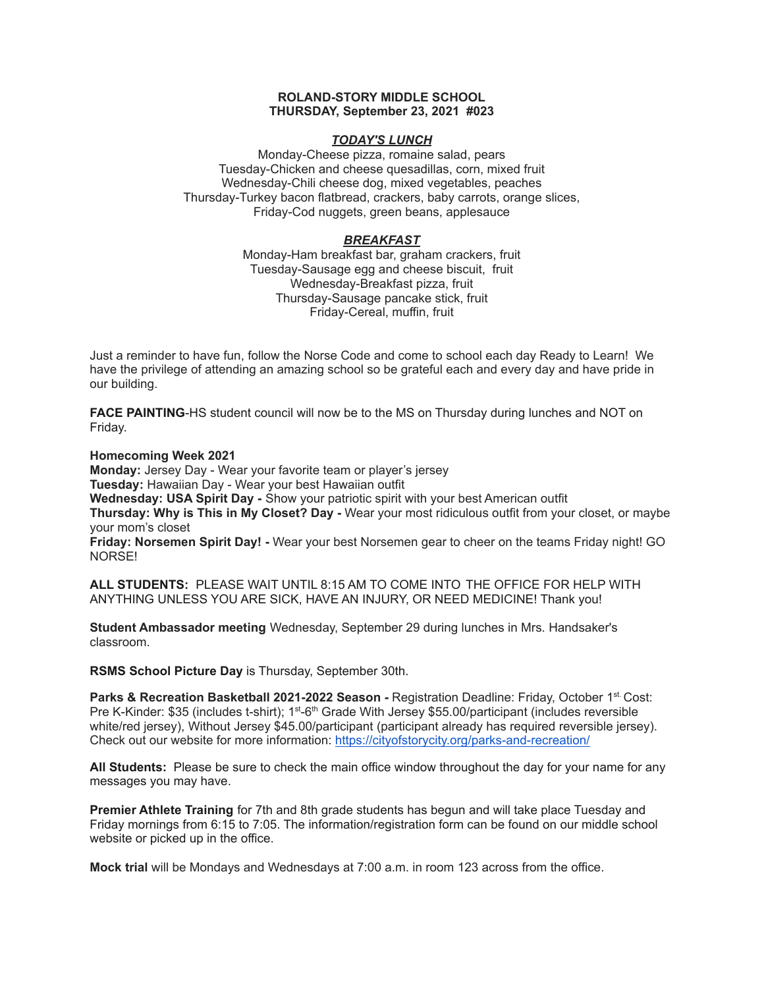## **ROLAND-STORY MIDDLE SCHOOL THURSDAY, September 23, 2021 #023**

## *TODAY'S LUNCH*

Monday-Cheese pizza, romaine salad, pears Tuesday-Chicken and cheese quesadillas, corn, mixed fruit Wednesday-Chili cheese dog, mixed vegetables, peaches Thursday-Turkey bacon flatbread, crackers, baby carrots, orange slices, Friday-Cod nuggets, green beans, applesauce

# *BREAKFAST*

Monday-Ham breakfast bar, graham crackers, fruit Tuesday-Sausage egg and cheese biscuit, fruit Wednesday-Breakfast pizza, fruit Thursday-Sausage pancake stick, fruit Friday-Cereal, muffin, fruit

Just a reminder to have fun, follow the Norse Code and come to school each day Ready to Learn! We have the privilege of attending an amazing school so be grateful each and every day and have pride in our building.

**FACE PAINTING**-HS student council will now be to the MS on Thursday during lunches and NOT on Friday.

**Homecoming Week 2021**

**Monday:** Jersey Day - Wear your favorite team or player's jersey **Tuesday:** Hawaiian Day - Wear your best Hawaiian outfit **Wednesday: USA Spirit Day -** Show your patriotic spirit with your best American outfit

**Thursday: Why is This in My Closet? Day -** Wear your most ridiculous outfit from your closet, or maybe your mom's closet

**Friday: Norsemen Spirit Day! -** Wear your best Norsemen gear to cheer on the teams Friday night! GO NORSE!

**ALL STUDENTS:** PLEASE WAIT UNTIL 8:15 AM TO COME INTO THE OFFICE FOR HELP WITH ANYTHING UNLESS YOU ARE SICK, HAVE AN INJURY, OR NEED MEDICINE! Thank you!

**Student Ambassador meeting** Wednesday, September 29 during lunches in Mrs. Handsaker's classroom.

**RSMS School Picture Day** is Thursday, September 30th.

**Parks & Recreation Basketball 2021-2022 Season -** Registration Deadline: Friday, October 1 st. Cost: Pre K-Kinder: \$35 (includes t-shirt); 1<sup>st</sup>-6<sup>th</sup> Grade With Jersey \$55.00/participant (includes reversible white/red jersey), Without Jersey \$45.00/participant (participant already has required reversible jersey). Check out our website for more information: <https://cityofstorycity.org/parks-and-recreation/>

**All Students:** Please be sure to check the main office window throughout the day for your name for any messages you may have.

**Premier Athlete Training** for 7th and 8th grade students has begun and will take place Tuesday and Friday mornings from 6:15 to 7:05. The information/registration form can be found on our middle school website or picked up in the office.

**Mock trial** will be Mondays and Wednesdays at 7:00 a.m. in room 123 across from the office.